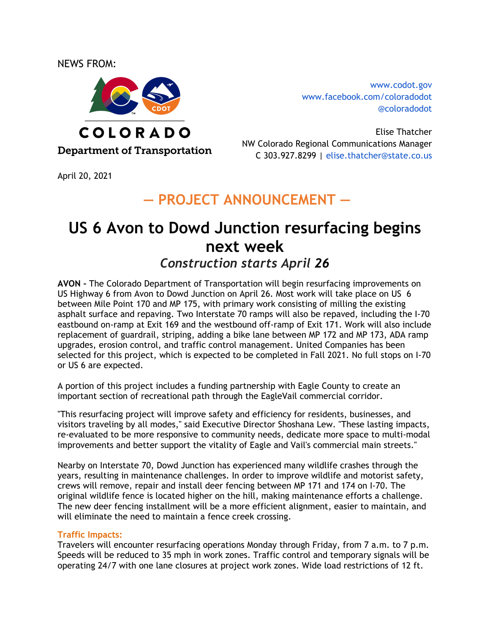NEWS FROM:



[www.codot.gov](http://www.coloradodot.info) [www.facebook.com/coloradodot](http://www.facebook.com/coloradodot) [@coloradodot](https://twitter.com/ColoradoDOT)

Elise Thatcher NW Colorado Regional Communications Manager C 303.927.8299 | elise.thatcher@state.co.us

April 20, 2021

## **― PROJECT ANNOUNCEMENT ―**

# **US 6 Avon to Dowd Junction resurfacing begins next week**

### *Construction starts April 26*

**AVON –** The Colorado Department of Transportation will begin resurfacing improvements on US Highway 6 from Avon to Dowd Junction on April 26. Most work will take place on US 6 between Mile Point 170 and MP 175, with primary work consisting of milling the existing asphalt surface and repaving. Two Interstate 70 ramps will also be repaved, including the I-70 eastbound on-ramp at Exit 169 and the westbound off-ramp of Exit 171. Work will also include replacement of guardrail, striping, adding a bike lane between MP 172 and MP 173, ADA ramp upgrades, erosion control, and traffic control management. United Companies has been selected for this project, which is expected to be completed in Fall 2021. No full stops on I-70 or US 6 are expected.

A portion of this project includes a funding partnership with Eagle County to create an important section of recreational path through the EagleVail commercial corridor.

"This resurfacing project will improve safety and efficiency for residents, businesses, and visitors traveling by all modes," said Executive Director Shoshana Lew. "These lasting impacts, re-evaluated to be more responsive to community needs, dedicate more space to multi-modal improvements and better support the vitality of Eagle and Vail's commercial main streets."

Nearby on Interstate 70, Dowd Junction has experienced many wildlife crashes through the years, resulting in maintenance challenges. In order to improve wildlife and motorist safety, crews will remove, repair and install deer fencing between MP 171 and 174 on I-70. The original wildlife fence is located higher on the hill, making maintenance efforts a challenge. The new deer fencing installment will be a more efficient alignment, easier to maintain, and will eliminate the need to maintain a fence creek crossing.

#### **Traffic Impacts:**

Travelers will encounter resurfacing operations Monday through Friday, from 7 a.m. to 7 p.m. Speeds will be reduced to 35 mph in work zones. Traffic control and temporary signals will be operating 24/7 with one lane closures at project work zones. Wide load restrictions of 12 ft.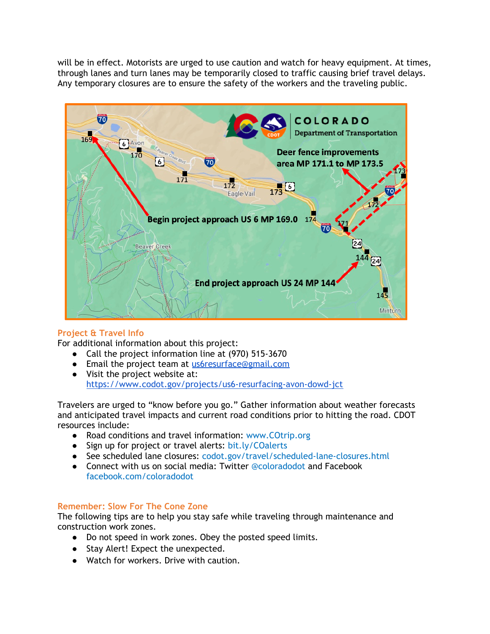will be in effect. Motorists are urged to use caution and watch for heavy equipment. At times, through lanes and turn lanes may be temporarily closed to traffic causing brief travel delays. Any temporary closures are to ensure the safety of the workers and the traveling public.



#### **Project & Travel Info**

For additional information about this project:

- Call the project information line at (970) 515-3670
- Email the project team at us6resurface@gmail.com
- Visit the project website at: <https://www.codot.gov/projects/us6-resurfacing-avon-dowd-jct>

Travelers are urged to "know before you go." Gather information about weather forecasts and anticipated travel impacts and current road conditions prior to hitting the road. CDOT resources include:

- Road conditions and travel information: [www.COtrip.org](http://www.cotrip.org/)
- Sign up for project or travel alerts: [bit.ly/COalerts](http://subscription.cotrip.org/)
- See scheduled lane closures: [codot.gov/travel/scheduled-lane-closures.html](http://www.codot.gov/travel/scheduled-lane-closures.html)
- Connect with us on social media: Twitter [@coloradodot](https://twitter.com/ColoradoDOT) and Facebook [facebook.com/coloradodot](http://www.facebook.com/coloradodot)

#### **Remember: Slow For The Cone Zone**

The following tips are to help you stay safe while traveling through maintenance and construction work zones.

- Do not speed in work zones. Obey the posted speed limits.
- Stay Alert! Expect the unexpected.
- Watch for workers. Drive with caution.